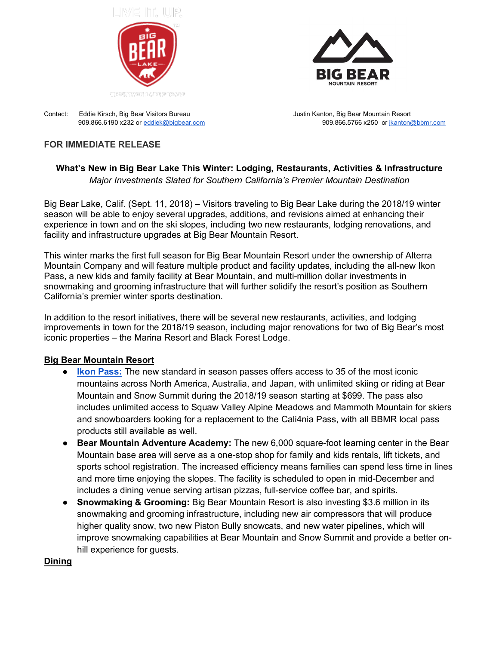



Contact: Eddie Kirsch, Big Bear Visitors Bureau Justin Kanton, Big Bear Mountain Resort

909.866.6190 x232 or eddiek@bigbear.com 909.866.5766 x250 or jkanton@bbmr.com

### **FOR IMMEDIATE RELEASE**

### **What's New in Big Bear Lake This Winter: Lodging, Restaurants, Activities & Infrastructure**  *Major Investments Slated for Southern California's Premier Mountain Destination*

Big Bear Lake, Calif. (Sept. 11, 2018) – Visitors traveling to Big Bear Lake during the 2018/19 winter season will be able to enjoy several upgrades, additions, and revisions aimed at enhancing their experience in town and on the ski slopes, including two new restaurants, lodging renovations, and facility and infrastructure upgrades at Big Bear Mountain Resort.

This winter marks the first full season for Big Bear Mountain Resort under the ownership of Alterra Mountain Company and will feature multiple product and facility updates, including the all-new Ikon Pass, a new kids and family facility at Bear Mountain, and multi-million dollar investments in snowmaking and grooming infrastructure that will further solidify the resort's position as Southern California's premier winter sports destination.

In addition to the resort initiatives, there will be several new restaurants, activities, and lodging improvements in town for the 2018/19 season, including major renovations for two of Big Bear's most iconic properties – the Marina Resort and Black Forest Lodge.

### **Big Bear Mountain Resort**

- **Ikon Pass:** The new standard in season passes offers access to 35 of the most iconic mountains across North America, Australia, and Japan, with unlimited skiing or riding at Bear Mountain and Snow Summit during the 2018/19 season starting at \$699. The pass also includes unlimited access to Squaw Valley Alpine Meadows and Mammoth Mountain for skiers and snowboarders looking for a replacement to the Cali4nia Pass, with all BBMR local pass products still available as well.
- **Bear Mountain Adventure Academy:** The new 6,000 square-foot learning center in the Bear Mountain base area will serve as a one-stop shop for family and kids rentals, lift tickets, and sports school registration. The increased efficiency means families can spend less time in lines and more time enjoying the slopes. The facility is scheduled to open in mid-December and includes a dining venue serving artisan pizzas, full-service coffee bar, and spirits.
- **Snowmaking & Grooming:** Big Bear Mountain Resort is also investing \$3.6 million in its snowmaking and grooming infrastructure, including new air compressors that will produce higher quality snow, two new Piston Bully snowcats, and new water pipelines, which will improve snowmaking capabilities at Bear Mountain and Snow Summit and provide a better onhill experience for guests.

#### **Dining**